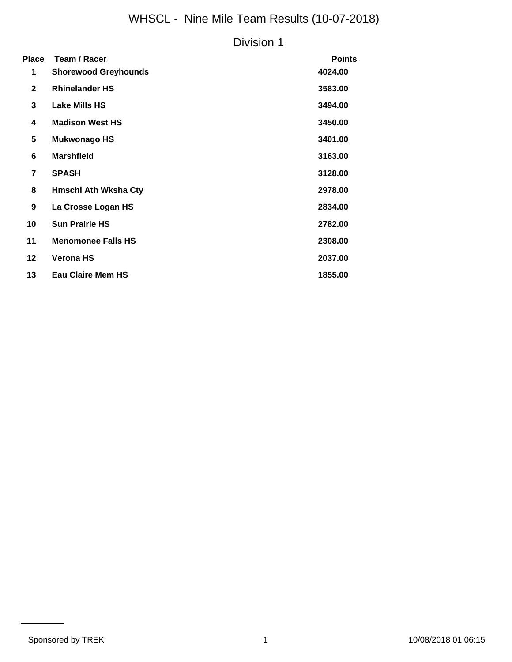# WHSCL - Nine Mile Team Results (10-07-2018)

### Division 1

| <b>Place</b>             | Team / Racer                | <b>Points</b> |
|--------------------------|-----------------------------|---------------|
| 1                        | <b>Shorewood Greyhounds</b> | 4024.00       |
| $\mathbf{2}$             | <b>Rhinelander HS</b>       | 3583.00       |
| 3                        | <b>Lake Mills HS</b>        | 3494.00       |
| 4                        | <b>Madison West HS</b>      | 3450.00       |
| 5                        | <b>Mukwonago HS</b>         | 3401.00       |
| 6                        | <b>Marshfield</b>           | 3163.00       |
| $\overline{\phantom{a}}$ | <b>SPASH</b>                | 3128.00       |
| 8                        | <b>Hmschl Ath Wksha Cty</b> | 2978.00       |
| 9                        | La Crosse Logan HS          | 2834.00       |
| 10                       | <b>Sun Prairie HS</b>       | 2782.00       |
| 11                       | <b>Menomonee Falls HS</b>   | 2308.00       |
| $12 \,$                  | <b>Verona HS</b>            | 2037.00       |
| 13                       | <b>Eau Claire Mem HS</b>    | 1855.00       |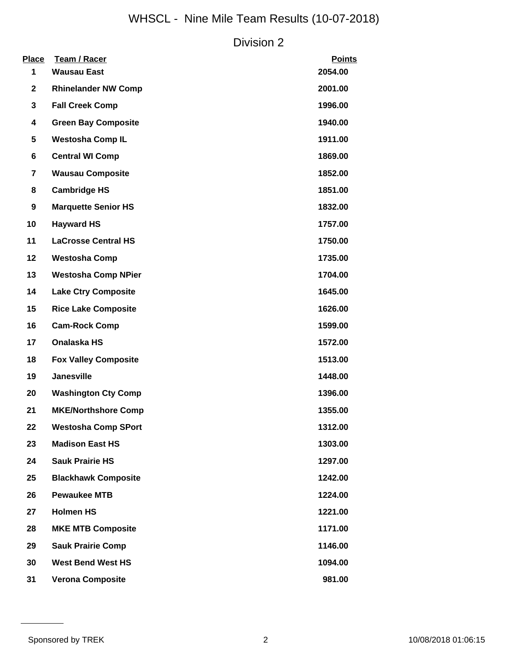# WHSCL - Nine Mile Team Results (10-07-2018)

### Division 2

| <b>Place</b><br>1 | Team / Racer<br><b>Wausau East</b> | <b>Points</b><br>2054.00 |
|-------------------|------------------------------------|--------------------------|
| $\mathbf{2}$      | <b>Rhinelander NW Comp</b>         | 2001.00                  |
| 3                 | <b>Fall Creek Comp</b>             | 1996.00                  |
| 4                 | <b>Green Bay Composite</b>         | 1940.00                  |
| 5                 | <b>Westosha Comp IL</b>            | 1911.00                  |
| 6                 | <b>Central WI Comp</b>             | 1869.00                  |
| $\overline{7}$    | <b>Wausau Composite</b>            | 1852.00                  |
| 8                 | <b>Cambridge HS</b>                | 1851.00                  |
| 9                 | <b>Marquette Senior HS</b>         | 1832.00                  |
| 10                | <b>Hayward HS</b>                  | 1757.00                  |
| 11                | <b>LaCrosse Central HS</b>         | 1750.00                  |
| 12                | <b>Westosha Comp</b>               | 1735.00                  |
| 13                | <b>Westosha Comp NPier</b>         | 1704.00                  |
| 14                | <b>Lake Ctry Composite</b>         | 1645.00                  |
| 15                | <b>Rice Lake Composite</b>         | 1626.00                  |
| 16                | <b>Cam-Rock Comp</b>               | 1599.00                  |
| 17                | Onalaska HS                        | 1572.00                  |
| 18                | <b>Fox Valley Composite</b>        | 1513.00                  |
| 19                | <b>Janesville</b>                  | 1448.00                  |
| 20                | <b>Washington Cty Comp</b>         | 1396.00                  |
| 21                | <b>MKE/Northshore Comp</b>         | 1355.00                  |
| 22                | <b>Westosha Comp SPort</b>         | 1312.00                  |
| 23                | <b>Madison East HS</b>             | 1303.00                  |
| 24                | <b>Sauk Prairie HS</b>             | 1297.00                  |
| 25                | <b>Blackhawk Composite</b>         | 1242.00                  |
| 26                | <b>Pewaukee MTB</b>                | 1224.00                  |
| 27                | <b>Holmen HS</b>                   | 1221.00                  |
| 28                | <b>MKE MTB Composite</b>           | 1171.00                  |
| 29                | <b>Sauk Prairie Comp</b>           | 1146.00                  |
| 30                | <b>West Bend West HS</b>           | 1094.00                  |
| 31                | <b>Verona Composite</b>            | 981.00                   |